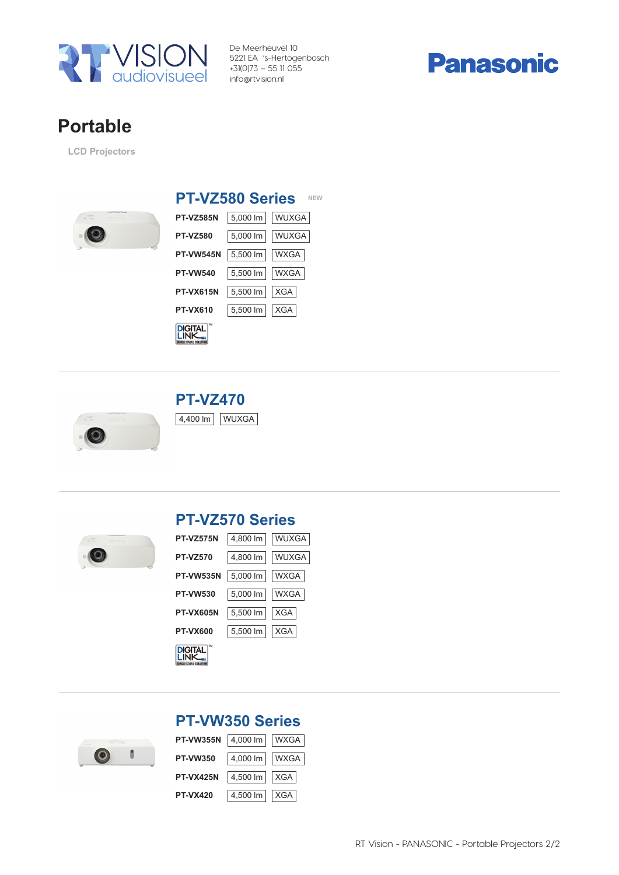

De Meerheuvel 10 5221 EA 's-Hertogenbosch +31(0)73 – 55 11 055 info@rtvision.nl



# Portable Portable

LCD Projectors LCD Projectors



### PT-VZ580 Series NEW

| <b>PT-VZ585N</b>                   | 5,000 lm     WUXGA     |       |
|------------------------------------|------------------------|-------|
| <b>PT-VZ580</b>                    | 5,000 lm               | WUXGA |
| <b>PT-VW545N</b>                   | 5,500 lm   WXGA        |       |
| <b>PT-VW540</b>                    | 5,500 lm   WXGA        |       |
| <b>PT-VX615N</b>                   | $  5,500 \text{ lm}  $ | XGA   |
| <b>PT-VX610</b>                    | 5,500 lm   XGA         |       |
| <b>DIGITAL</b><br>IF CARIF SOLUTIO |                        |       |





## PT-VZ570 Series PT-VZ570 Series

| <b>PT-VZ575N</b>                     | 4,800 lm     WUXGA              |       |
|--------------------------------------|---------------------------------|-------|
| <b>PT-VZ570</b>                      | 4,800 lm                        | WUXGA |
| <b>PT-VW535N</b>                     | $5,000 \, \text{Im}$            | WXGA  |
| <b>PT-VW530</b>                      | $  5,000 \text{ }   \text{m}  $ | WXGA  |
| <b>PT-VX605N</b>                     | $5,500$ lm                      | XGA   |
| <b>PT-VX600</b>                      | $5,500$ lm                      | XGA   |
| <b>DIGITAL</b><br>IGLE CARLE SOLUTIO |                                 |       |



| <b>PT-VW350 Series</b>  |                         |  |
|-------------------------|-------------------------|--|
| PT-VW355N 4,000 Im WXGA |                         |  |
| <b>PT-VW350</b>         | $4,000 \text{ Im}$ WXGA |  |
| <b>PT-VX425N</b>        | $4,500$ lm $XGA$        |  |
| <b>PT-VX420</b>         | $4,500$ lm $XGA$        |  |